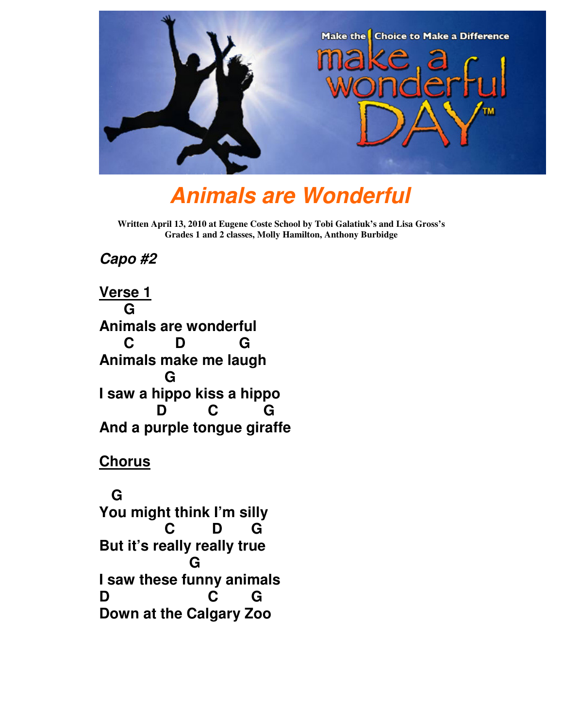

# **Animals are Wonderful**

**Written April 13, 2010 at Eugene Coste School by Tobi Galatiuk's and Lisa Gross's Grades 1 and 2 classes, Molly Hamilton, Anthony Burbidge** 

#### **Capo #2**

**Verse 1 G Animals are wonderful C D G Animals make me laugh G I saw a hippo kiss a hippo D C G And a purple tongue giraffe** 

#### **Chorus**

 **G You might think I'm silly C D G But it's really really true G I saw these funny animals D C G Down at the Calgary Zoo**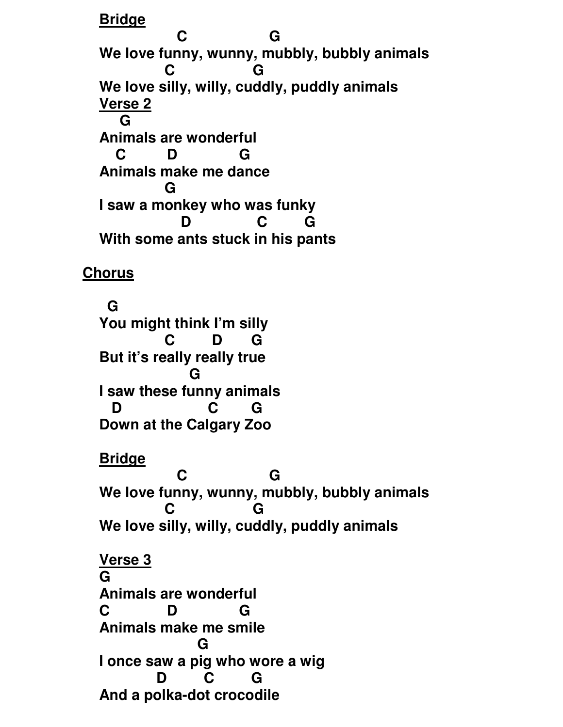**Bridge**

**C** G **We love funny, wunny, mubbly, bubbly animals C G We love silly, willy, cuddly, puddly animals Verse 2 G Animals are wonderful C D G Animals make me dance G I saw a monkey who was funky D C G With some ants stuck in his pants** 

**Chorus**

 **G You might think I'm silly C D G But it's really really true G** G **I saw these funny animals D C G Down at the Calgary Zoo** 

**Bridge**

**C** G **We love funny, wunny, mubbly, bubbly animals C G We love silly, willy, cuddly, puddly animals Verse 3**

**G Animals are wonderful C D G Animals make me smile G** G **I once saw a pig who wore a wig D C G And a polka-dot crocodile**